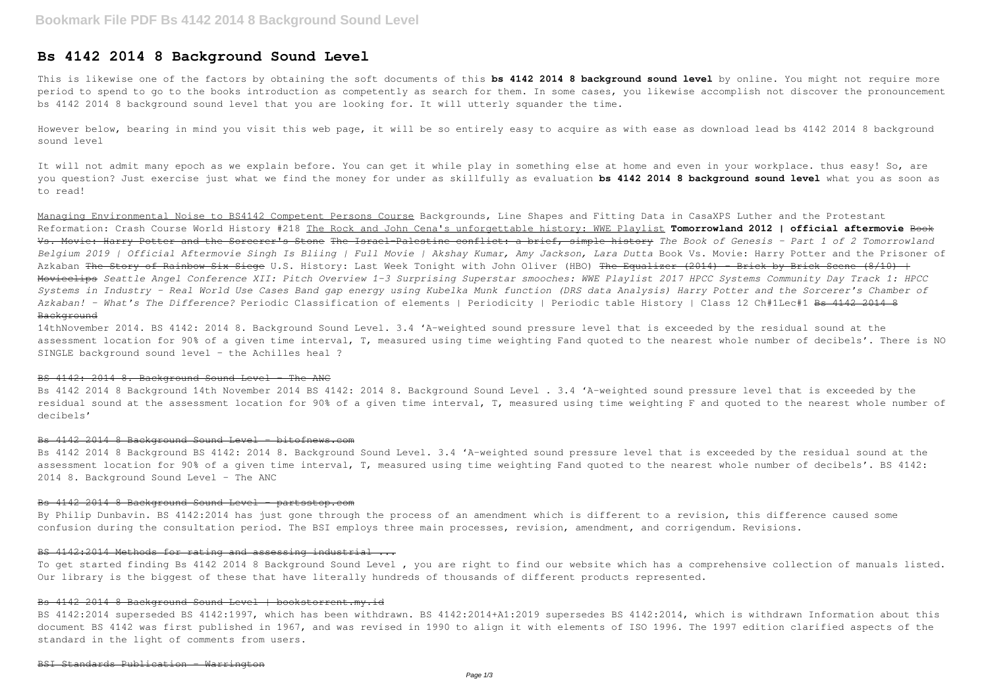# **Bs 4142 2014 8 Background Sound Level**

This is likewise one of the factors by obtaining the soft documents of this **bs 4142 2014 8 background sound level** by online. You might not require more period to spend to go to the books introduction as competently as search for them. In some cases, you likewise accomplish not discover the pronouncement bs 4142 2014 8 background sound level that you are looking for. It will utterly squander the time.

It will not admit many epoch as we explain before. You can get it while play in something else at home and even in your workplace. thus easy! So, are you question? Just exercise just what we find the money for under as skillfully as evaluation **bs 4142 2014 8 background sound level** what you as soon as to read!

However below, bearing in mind you visit this web page, it will be so entirely easy to acquire as with ease as download lead bs 4142 2014 8 background sound level

Managing Environmental Noise to BS4142 Competent Persons Course Backgrounds, Line Shapes and Fitting Data in CasaXPS Luther and the Protestant Reformation: Crash Course World History #218 The Rock and John Cena's unforgettable history: WWE Playlist **Tomorrowland 2012 | official aftermovie** Book Vs. Movie: Harry Potter and the Sorcerer's Stone The Israel-Palestine conflict: a brief, simple history *The Book of Genesis - Part 1 of 2 Tomorrowland Belgium 2019 | Official Aftermovie Singh Is Bliing | Full Movie | Akshay Kumar, Amy Jackson, Lara Dutta* Book Vs. Movie: Harry Potter and the Prisoner of Azkaban <del>The Story of Rainbow Six Siege</del> U.S. History: Last Week Tonight with John Oliver (HBO) <del>The Equalizer (2014) - Brick by Brick Scene (8/10) +</del> Movieclips *Seattle Angel Conference XII: Pitch Overview 1-3 Surprising Superstar smooches: WWE Playlist 2017 HPCC Systems Community Day Track 1: HPCC Systems in Industry - Real World Use Cases Band gap energy using Kubelka Munk function (DRS data Analysis) Harry Potter and the Sorcerer's Chamber of Azkaban! - What's The Difference?* Periodic Classification of elements | Periodicity | Periodic table History | Class 12 Ch#1Lec#1 Bs 4142 2014 8 Background

By Philip Dunbavin. BS 4142:2014 has just gone through the process of an amendment which is different to a revision, this difference caused some confusion during the consultation period. The BSI employs three main processes, revision, amendment, and corrigendum. Revisions.

14thNovember 2014. BS 4142: 2014 8. Background Sound Level. 3.4 'A-weighted sound pressure level that is exceeded by the residual sound at the assessment location for 90% of a given time interval, T, measured using time weighting Fand quoted to the nearest whole number of decibels'. There is NO SINGLE background sound level – the Achilles heal ?

#### BS 4142: 2014 8. Background Sound Level - The ANC

Bs 4142 2014 8 Background 14th November 2014 BS 4142: 2014 8. Background Sound Level . 3.4 'A-weighted sound pressure level that is exceeded by the residual sound at the assessment location for 90% of a given time interval, T, measured using time weighting F and quoted to the nearest whole number of decibels'

#### Bs 4142 2014 8 Background Sound Level bitofnews.com

Bs 4142 2014 8 Background BS 4142: 2014 8. Background Sound Level. 3.4 'A-weighted sound pressure level that is exceeded by the residual sound at the assessment location for 90% of a given time interval, T, measured using time weighting Fand quoted to the nearest whole number of decibels'. BS 4142: 2014 8. Background Sound Level - The ANC

# Bs 4142 2014 8 Background Sound Level - partsstop.com

#### BS 4142:2014 Methods for rating and assessing industrial ...

To get started finding Bs 4142 2014 8 Background Sound Level , you are right to find our website which has a comprehensive collection of manuals listed. Our library is the biggest of these that have literally hundreds of thousands of different products represented.

#### Bs 4142 2014 8 Background Sound Level | bookstorrent.my.id

BS 4142:2014 superseded BS 4142:1997, which has been withdrawn. BS 4142:2014+A1:2019 supersedes BS 4142:2014, which is withdrawn Information about this document BS 4142 was first published in 1967, and was revised in 1990 to align it with elements of ISO 1996. The 1997 edition clarified aspects of the standard in the light of comments from users.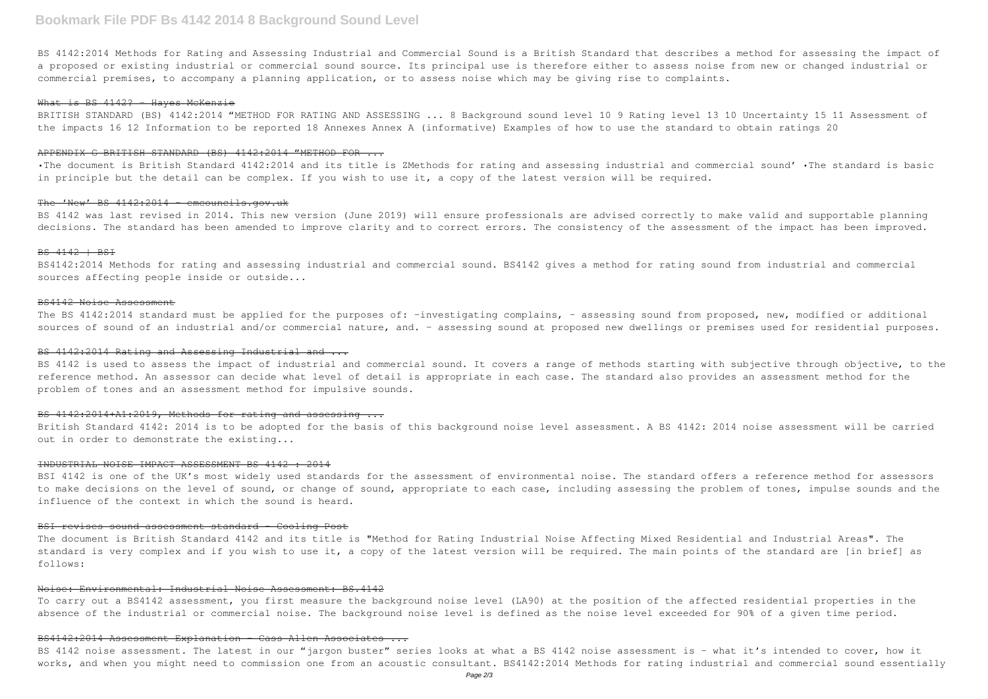# **Bookmark File PDF Bs 4142 2014 8 Background Sound Level**

BS 4142:2014 Methods for Rating and Assessing Industrial and Commercial Sound is a British Standard that describes a method for assessing the impact of a proposed or existing industrial or commercial sound source. Its principal use is therefore either to assess noise from new or changed industrial or commercial premises, to accompany a planning application, or to assess noise which may be giving rise to complaints.

#### What is BS 4142? - Hayes McKenzie

BRITISH STANDARD (BS) 4142:2014 "METHOD FOR RATING AND ASSESSING ... 8 Background sound level 10 9 Rating level 13 10 Uncertainty 15 11 Assessment of the impacts 16 12 Information to be reported 18 Annexes Annex A (informative) Examples of how to use the standard to obtain ratings 20

BS 4142 was last revised in 2014. This new version (June 2019) will ensure professionals are advised correctly to make valid and supportable planning decisions. The standard has been amended to improve clarity and to correct errors. The consistency of the assessment of the impact has been improved.

#### APPENDIX G BRITISH STANDARD (BS) 4142:2014 "METHOD FOR ...

•The document is British Standard 4142:2014 and its title is ZMethods for rating and assessing industrial and commercial sound' •The standard is basic in principle but the detail can be complex. If you wish to use it, a copy of the latest version will be required.

## The 'New' BS 4142:2014 - emcouncils.gov.uk

The BS 4142:2014 standard must be applied for the purposes of: -investigating complains, - assessing sound from proposed, new, modified or additional sources of sound of an industrial and/or commercial nature, and. – assessing sound at proposed new dwellings or premises used for residential purposes.

### BS 4142:2014 Rating and Assessing Industrial and ...

BS 4142 is used to assess the impact of industrial and commercial sound. It covers a range of methods starting with subjective through objective, to the reference method. An assessor can decide what level of detail is appropriate in each case. The standard also provides an assessment method for the problem of tones and an assessment method for impulsive sounds.

#### BS 4142:2014+A1:2019, Methods for rating and assessing ...

#### BS 4142 | BSI

BSI 4142 is one of the UK's most widely used standards for the assessment of environmental noise. The standard offers a reference method for assessors to make decisions on the level of sound, or change of sound, appropriate to each case, including assessing the problem of tones, impulse sounds and the influence of the context in which the sound is heard.

BS4142:2014 Methods for rating and assessing industrial and commercial sound. BS4142 gives a method for rating sound from industrial and commercial sources affecting people inside or outside...

#### BS4142 Noise Assessment

To carry out a BS4142 assessment, you first measure the background noise level (LA90) at the position of the affected residential properties in the absence of the industrial or commercial noise. The background noise level is defined as the noise level exceeded for 90% of a given time period.

## BS4142:2014 Assessment Explanation - Cass Allen Associates ...

BS 4142 noise assessment. The latest in our "jargon buster" series looks at what a BS 4142 noise assessment is - what it's intended to cover, how it works, and when you might need to commission one from an acoustic consultant. BS4142:2014 Methods for rating industrial and commercial sound essentially

British Standard 4142: 2014 is to be adopted for the basis of this background noise level assessment. A BS 4142: 2014 noise assessment will be carried out in order to demonstrate the existing...

#### INDUSTRIAL NOISE IMPACT ASSESSMENT BS 4142 : 2014

#### BSI revises sound assessment standard - Cooling Post

The document is British Standard 4142 and its title is "Method for Rating Industrial Noise Affecting Mixed Residential and Industrial Areas". The standard is very complex and if you wish to use it, a copy of the latest version will be required. The main points of the standard are [in brief] as follows:

## Noise: Environmental: Industrial Noise Assessment: BS.4142